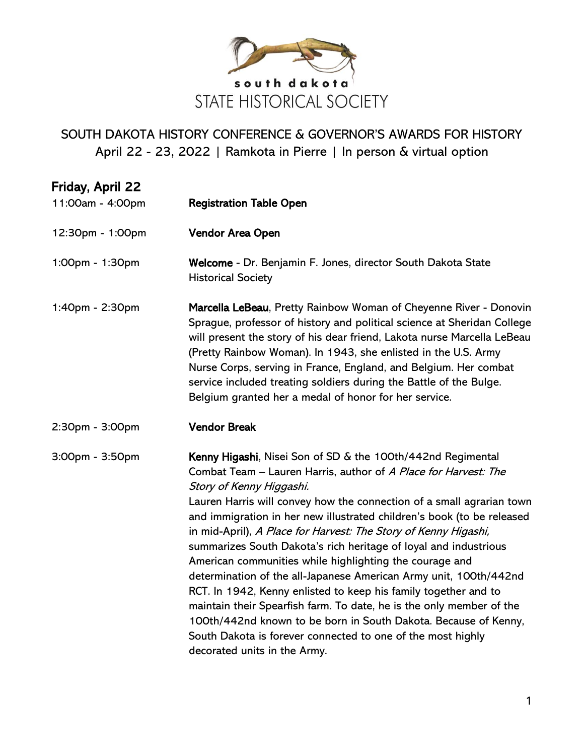

| Friday, April 22<br>11:00am - 4:00pm | <b>Registration Table Open</b>                                                                                                                                                                                                                                                                                                                                                                                                                                                                                                                                                                                                                                                                                                                                                                                                                                                                    |
|--------------------------------------|---------------------------------------------------------------------------------------------------------------------------------------------------------------------------------------------------------------------------------------------------------------------------------------------------------------------------------------------------------------------------------------------------------------------------------------------------------------------------------------------------------------------------------------------------------------------------------------------------------------------------------------------------------------------------------------------------------------------------------------------------------------------------------------------------------------------------------------------------------------------------------------------------|
| 12:30pm - 1:00pm                     | Vendor Area Open                                                                                                                                                                                                                                                                                                                                                                                                                                                                                                                                                                                                                                                                                                                                                                                                                                                                                  |
| 1:00pm - 1:30pm                      | Welcome - Dr. Benjamin F. Jones, director South Dakota State<br><b>Historical Society</b>                                                                                                                                                                                                                                                                                                                                                                                                                                                                                                                                                                                                                                                                                                                                                                                                         |
| 1:40pm - 2:30pm                      | Marcella LeBeau, Pretty Rainbow Woman of Cheyenne River - Donovin<br>Sprague, professor of history and political science at Sheridan College<br>will present the story of his dear friend, Lakota nurse Marcella LeBeau<br>(Pretty Rainbow Woman). In 1943, she enlisted in the U.S. Army<br>Nurse Corps, serving in France, England, and Belgium. Her combat<br>service included treating soldiers during the Battle of the Bulge.<br>Belgium granted her a medal of honor for her service.                                                                                                                                                                                                                                                                                                                                                                                                      |
| 2:30pm - 3:00pm                      | <b>Vendor Break</b>                                                                                                                                                                                                                                                                                                                                                                                                                                                                                                                                                                                                                                                                                                                                                                                                                                                                               |
| 3:00pm - 3:50pm                      | Kenny Higashi, Nisei Son of SD & the 100th/442nd Regimental<br>Combat Team - Lauren Harris, author of A Place for Harvest: The<br>Story of Kenny Higgashi.<br>Lauren Harris will convey how the connection of a small agrarian town<br>and immigration in her new illustrated children's book (to be released<br>in mid-April), A Place for Harvest: The Story of Kenny Higashi,<br>summarizes South Dakota's rich heritage of loyal and industrious<br>American communities while highlighting the courage and<br>determination of the all-Japanese American Army unit, 100th/442nd<br>RCT. In 1942, Kenny enlisted to keep his family together and to<br>maintain their Spearfish farm. To date, he is the only member of the<br>100th/442nd known to be born in South Dakota. Because of Kenny,<br>South Dakota is forever connected to one of the most highly<br>decorated units in the Army. |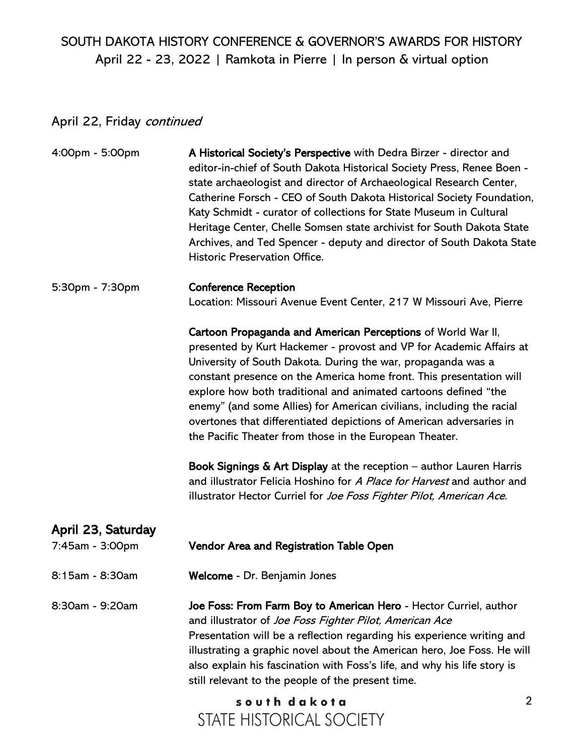# April 22, Friday continued

| 4:00pm - 5:00pm                       | A Historical Society's Perspective with Dedra Birzer - director and<br>editor-in-chief of South Dakota Historical Society Press, Renee Boen -<br>state archaeologist and director of Archaeological Research Center,<br>Catherine Forsch - CEO of South Dakota Historical Society Foundation,<br>Katy Schmidt - curator of collections for State Museum in Cultural<br>Heritage Center, Chelle Somsen state archivist for South Dakota State<br>Archives, and Ted Spencer - deputy and director of South Dakota State<br>Historic Preservation Office.                                                                                                                                                                                                                                       |
|---------------------------------------|----------------------------------------------------------------------------------------------------------------------------------------------------------------------------------------------------------------------------------------------------------------------------------------------------------------------------------------------------------------------------------------------------------------------------------------------------------------------------------------------------------------------------------------------------------------------------------------------------------------------------------------------------------------------------------------------------------------------------------------------------------------------------------------------|
| 5:30pm - 7:30pm                       | <b>Conference Reception</b><br>Location: Missouri Avenue Event Center, 217 W Missouri Ave, Pierre                                                                                                                                                                                                                                                                                                                                                                                                                                                                                                                                                                                                                                                                                            |
|                                       | Cartoon Propaganda and American Perceptions of World War II,<br>presented by Kurt Hackemer - provost and VP for Academic Affairs at<br>University of South Dakota. During the war, propaganda was a<br>constant presence on the America home front. This presentation will<br>explore how both traditional and animated cartoons defined "the<br>enemy" (and some Allies) for American civilians, including the racial<br>overtones that differentiated depictions of American adversaries in<br>the Pacific Theater from those in the European Theater.<br><b>Book Signings &amp; Art Display at the reception – author Lauren Harris</b><br>and illustrator Felicia Hoshino for A Place for Harvest and author and<br>illustrator Hector Curriel for Joe Foss Fighter Pilot, American Ace. |
| April 23, Saturday<br>7:45am - 3:00pm | Vendor Area and Registration Table Open                                                                                                                                                                                                                                                                                                                                                                                                                                                                                                                                                                                                                                                                                                                                                      |
| 8:15am - 8:30am                       | Welcome - Dr. Benjamin Jones                                                                                                                                                                                                                                                                                                                                                                                                                                                                                                                                                                                                                                                                                                                                                                 |
| 8:30am - 9:20am                       | Joe Foss: From Farm Boy to American Hero - Hector Curriel, author<br>and illustrator of Joe Foss Fighter Pilot, American Ace<br>Presentation will be a reflection regarding his experience writing and<br>illustrating a graphic novel about the American hero, Joe Foss. He will<br>also explain his fascination with Foss's life, and why his life story is<br>still relevant to the people of the present time.                                                                                                                                                                                                                                                                                                                                                                           |
|                                       | $\overline{2}$<br>south dakota<br>STATE HISTORICAL SOCIETY                                                                                                                                                                                                                                                                                                                                                                                                                                                                                                                                                                                                                                                                                                                                   |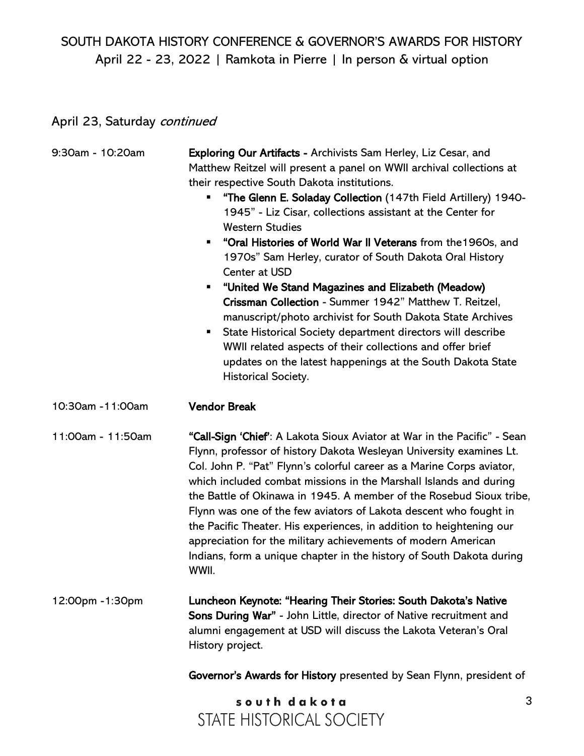## April 23, Saturday continued

| 9:30am - 10:20am  | <b>Exploring Our Artifacts - Archivists Sam Herley, Liz Cesar, and</b><br>Matthew Reitzel will present a panel on WWII archival collections at<br>their respective South Dakota institutions.<br>"The Glenn E. Soladay Collection (147th Field Artillery) 1940-<br>ш<br>1945" - Liz Cisar, collections assistant at the Center for<br><b>Western Studies</b><br>"Oral Histories of World War II Veterans from the 1960s, and<br>$\blacksquare$<br>1970s" Sam Herley, curator of South Dakota Oral History<br>Center at USD<br>"United We Stand Magazines and Elizabeth (Meadow)<br>п<br>Crissman Collection - Summer 1942" Matthew T. Reitzel,<br>manuscript/photo archivist for South Dakota State Archives<br>State Historical Society department directors will describe<br>п<br>WWII related aspects of their collections and offer brief<br>updates on the latest happenings at the South Dakota State<br>Historical Society. |   |
|-------------------|------------------------------------------------------------------------------------------------------------------------------------------------------------------------------------------------------------------------------------------------------------------------------------------------------------------------------------------------------------------------------------------------------------------------------------------------------------------------------------------------------------------------------------------------------------------------------------------------------------------------------------------------------------------------------------------------------------------------------------------------------------------------------------------------------------------------------------------------------------------------------------------------------------------------------------|---|
| 10:30am - 11:00am | <b>Vendor Break</b>                                                                                                                                                                                                                                                                                                                                                                                                                                                                                                                                                                                                                                                                                                                                                                                                                                                                                                                |   |
| 11:00am - 11:50am | "Call-Sign 'Chief': A Lakota Sioux Aviator at War in the Pacific" - Sean<br>Flynn, professor of history Dakota Wesleyan University examines Lt.<br>Col. John P. "Pat" Flynn's colorful career as a Marine Corps aviator,<br>which included combat missions in the Marshall Islands and during<br>the Battle of Okinawa in 1945. A member of the Rosebud Sioux tribe,<br>Flynn was one of the few aviators of Lakota descent who fought in<br>the Pacific Theater. His experiences, in addition to heightening our<br>appreciation for the military achievements of modern American<br>Indians, form a unique chapter in the history of South Dakota during<br>WWII.                                                                                                                                                                                                                                                                |   |
| 12:00pm -1:30pm   | Luncheon Keynote: "Hearing Their Stories: South Dakota's Native<br>Sons During War" - John Little, director of Native recruitment and<br>alumni engagement at USD will discuss the Lakota Veteran's Oral<br>History project.                                                                                                                                                                                                                                                                                                                                                                                                                                                                                                                                                                                                                                                                                                       |   |
|                   | Governor's Awards for History presented by Sean Flynn, president of                                                                                                                                                                                                                                                                                                                                                                                                                                                                                                                                                                                                                                                                                                                                                                                                                                                                |   |
|                   | south dakota<br>STATE HISTORICAL SOCIETY                                                                                                                                                                                                                                                                                                                                                                                                                                                                                                                                                                                                                                                                                                                                                                                                                                                                                           | 3 |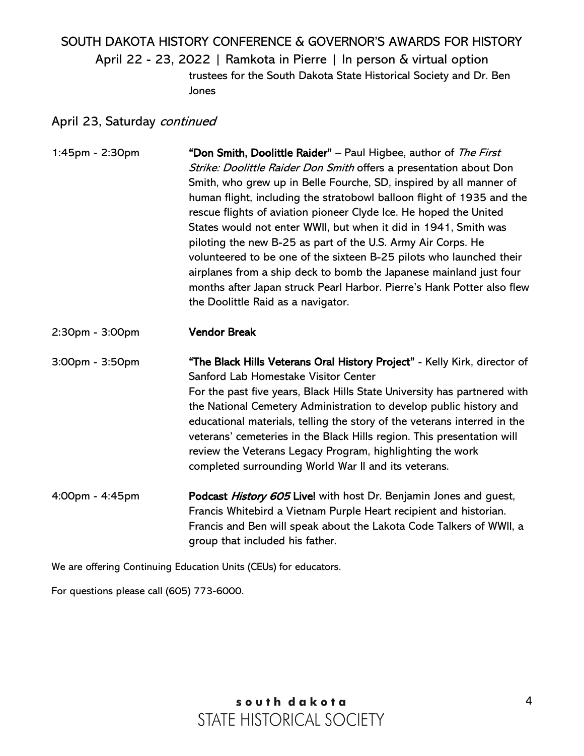# SOUTH DAKOTA HISTORY CONFERENCE & GOVERNOR'S AWARDS FOR HISTORY April 22 - 23, 2022 | Ramkota in Pierre | In person & virtual option trustees for the South Dakota State Historical Society and Dr. Ben Jones

### April 23, Saturday continued

1:45pm - 2:30pm **"Don Smith, Doolittle Raider"** – Paul Higbee, author of *The First* Strike: Doolittle Raider Don Smith offers a presentation about Don Smith, who grew up in Belle Fourche, SD, inspired by all manner of human flight, including the stratobowl balloon flight of 1935 and the rescue flights of aviation pioneer Clyde Ice. He hoped the United States would not enter WWII, but when it did in 1941, Smith was piloting the new B-25 as part of the U.S. Army Air Corps. He volunteered to be one of the sixteen B-25 pilots who launched their airplanes from a ship deck to bomb the Japanese mainland just four months after Japan struck Pearl Harbor. Pierre's Hank Potter also flew the Doolittle Raid as a navigator.

2:30pm - 3:00pm Vendor Break

3:00pm - 3:50pm "The Black Hills Veterans Oral History Project" - Kelly Kirk, director of Sanford Lab Homestake Visitor Center For the past five years, Black Hills State University has partnered with the National Cemetery Administration to develop public history and educational materials, telling the story of the veterans interred in the veterans' cemeteries in the Black Hills region. This presentation will review the Veterans Legacy Program, highlighting the work completed surrounding World War II and its veterans.

4:00pm - 4:45pm **Podcast** *History 605* **Live!** with host Dr. Benjamin Jones and guest, Francis Whitebird a Vietnam Purple Heart recipient and historian. Francis and Ben will speak about the Lakota Code Talkers of WWII, a group that included his father.

We are offering Continuing Education Units (CEUs) for educators.

For questions please call (605) 773-6000.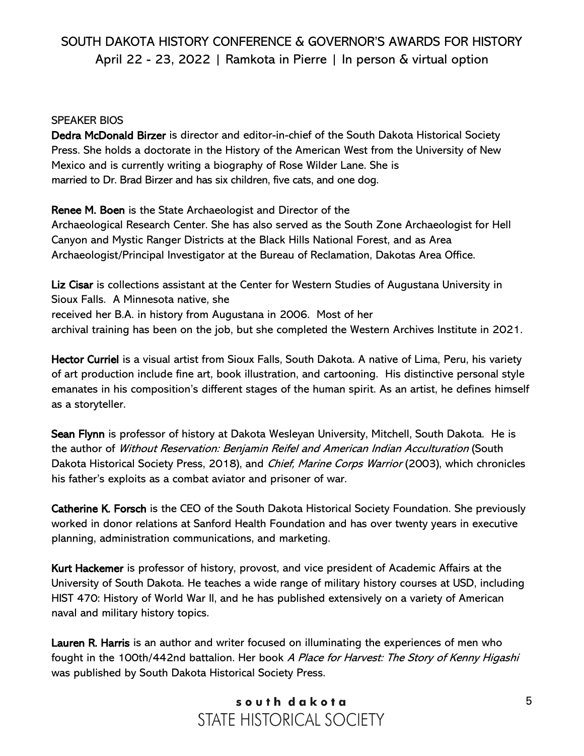### SPEAKER BIOS

Dedra McDonald Birzer is director and editor-in-chief of the South Dakota Historical Society Press. She holds a doctorate in the History of the American West from the University of New Mexico and is currently writing a biography of Rose Wilder Lane. She is married to Dr. Brad Birzer and has six children, five cats, and one dog.

Renee M. Boen is the State Archaeologist and Director of the

Archaeological Research Center. She has also served as the South Zone Archaeologist for Hell Canyon and Mystic Ranger Districts at the Black Hills National Forest, and as Area Archaeologist/Principal Investigator at the Bureau of Reclamation, Dakotas Area Office.

Liz Cisar is collections assistant at the Center for Western Studies of Augustana University in Sioux Falls. A Minnesota native, she received her B.A. in history from Augustana in 2006. Most of her archival training has been on the job, but she completed the Western Archives Institute in 2021.

Hector Curriel is a visual artist from Sioux Falls, South Dakota. A native of Lima, Peru, his variety of art production include fine art, book illustration, and cartooning. His distinctive personal style emanates in his composition's different stages of the human spirit. As an artist, he defines himself as a storyteller.

Sean Flynn is professor of history at Dakota Wesleyan University, Mitchell, South Dakota. He is the author of Without Reservation: Benjamin Reifel and American Indian Acculturation (South Dakota Historical Society Press, 2018), and Chief, Marine Corps Warrior (2003), which chronicles his father's exploits as a combat aviator and prisoner of war.

Catherine K. Forsch is the CEO of the South Dakota Historical Society Foundation. She previously worked in donor relations at Sanford Health Foundation and has over twenty years in executive planning, administration communications, and marketing.

Kurt Hackemer is professor of history, provost, and vice president of Academic Affairs at the University of South Dakota. He teaches a wide range of military history courses at USD, including HIST 470: History of World War II, and he has published extensively on a variety of American naval and military history topics.

Lauren R. Harris is an author and writer focused on illuminating the experiences of men who fought in the 100th/442nd battalion. Her book A Place for Harvest: The Story of Kenny Higashi was published by South Dakota Historical Society Press.

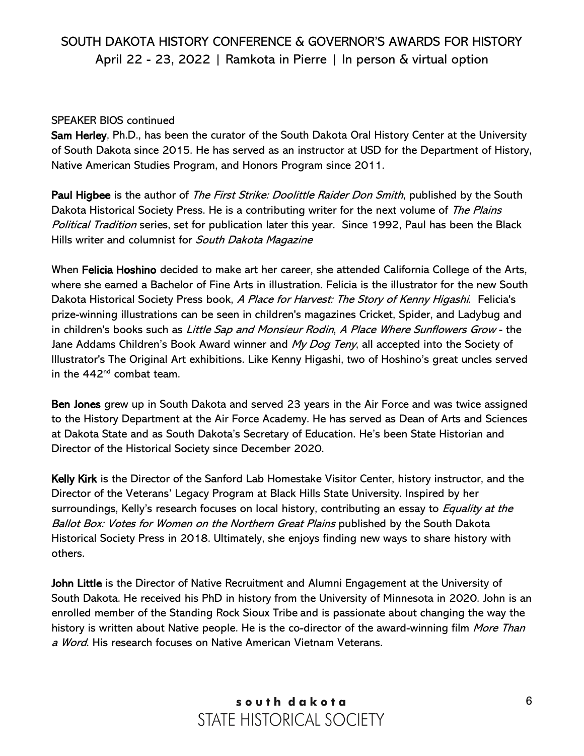### SPEAKER BIOS continued

Sam Herley, Ph.D., has been the curator of the South Dakota Oral History Center at the University of South Dakota since 2015. He has served as an instructor at USD for the Department of History, Native American Studies Program, and Honors Program since 2011.

Paul Higbee is the author of *The First Strike: Doolittle Raider Don Smith*, published by the South Dakota Historical Society Press. He is a contributing writer for the next volume of The Plains Political Tradition series, set for publication later this year. Since 1992, Paul has been the Black Hills writer and columnist for South Dakota Magazine

When Felicia Hoshino decided to make art her career, she attended California College of the Arts, where she earned a Bachelor of Fine Arts in illustration. Felicia is the illustrator for the new South Dakota Historical Society Press book, A Place for Harvest: The Story of Kenny Higashi. Felicia's prize-winning illustrations can be seen in children's magazines Cricket, Spider, and Ladybug and in children's books such as Little Sap and Monsieur Rodin, A Place Where Sunflowers Grow - the Jane Addams Children's Book Award winner and My Dog Teny, all accepted into the Society of Illustrator's The Original Art exhibitions. Like Kenny Higashi, two of Hoshino's great uncles served in the  $442<sup>nd</sup>$  combat team.

Ben Jones grew up in South Dakota and served 23 years in the Air Force and was twice assigned to the History Department at the Air Force Academy. He has served as Dean of Arts and Sciences at Dakota State and as South Dakota's Secretary of Education. He's been State Historian and Director of the Historical Society since December 2020.

Kelly Kirk is the Director of the Sanford Lab Homestake Visitor Center, history instructor, and the Director of the Veterans' Legacy Program at Black Hills State University. Inspired by her surroundings, Kelly's research focuses on local history, contributing an essay to *Equality at the* Ballot Box: Votes for Women on the Northern Great Plains published by the South Dakota Historical Society Press in 2018. Ultimately, she enjoys finding new ways to share history with others.

John Little is the Director of Native Recruitment and Alumni Engagement at the University of South Dakota. He received his PhD in history from the University of Minnesota in 2020. John is an enrolled member of the Standing Rock Sioux Tribe and is passionate about changing the way the history is written about Native people. He is the co-director of the award-winning film More Than a Word. His research focuses on Native American Vietnam Veterans.